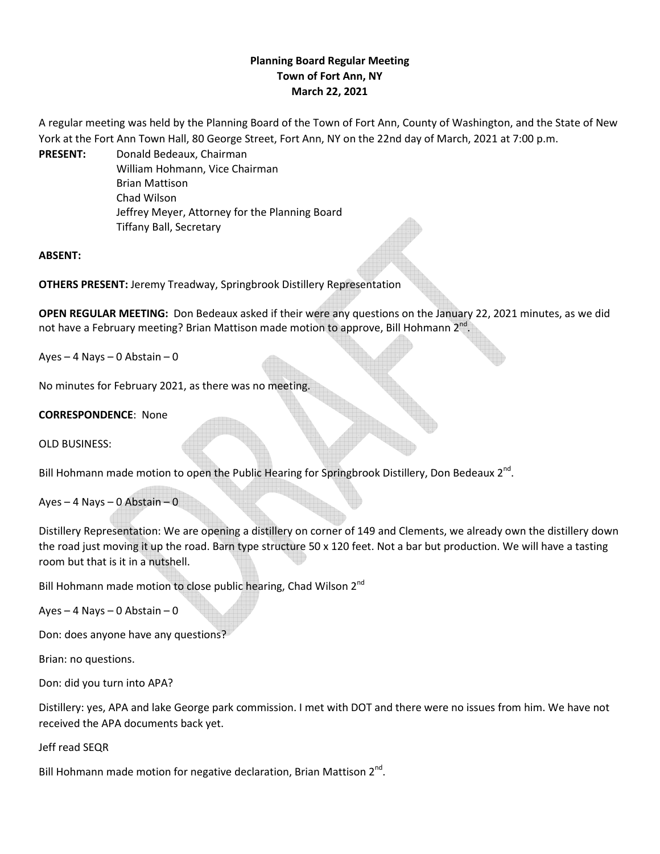# **Planning Board Regular Meeting Town of Fort Ann, NY March 22, 2021**

A regular meeting was held by the Planning Board of the Town of Fort Ann, County of Washington, and the State of New York at the Fort Ann Town Hall, 80 George Street, Fort Ann, NY on the 22nd day of March, 2021 at 7:00 p.m.

**PRESENT:** Donald Bedeaux, Chairman William Hohmann, Vice Chairman Brian Mattison Chad Wilson Jeffrey Meyer, Attorney for the Planning Board Tiffany Ball, Secretary

**ABSENT:**

**OTHERS PRESENT:** Jeremy Treadway, Springbrook Distillery Representation

**OPEN REGULAR MEETING:** Don Bedeaux asked if their were any questions on the January 22, 2021 minutes, as we did not have a February meeting? Brian Mattison made motion to approve, Bill Hohmann 2<sup>nd</sup>.

Ayes  $-4$  Nays  $-0$  Abstain  $-0$ 

No minutes for February 2021, as there was no meeting.

## **CORRESPONDENCE**: None

OLD BUSINESS:

Bill Hohmann made motion to open the Public Hearing for Springbrook Distillery, Don Bedeaux  $2^{nd}$ .

Ayes – 4 Nays – 0 Abstain – 0

Distillery Representation: We are opening a distillery on corner of 149 and Clements, we already own the distillery down the road just moving it up the road. Barn type structure 50 x 120 feet. Not a bar but production. We will have a tasting room but that is it in a nutshell.

Bill Hohmann made motion to close public hearing, Chad Wilson 2<sup>nd</sup>

Ayes – 4 Nays – 0 Abstain – 0

Don: does anyone have any questions?

Brian: no questions.

Don: did you turn into APA?

Distillery: yes, APA and lake George park commission. I met with DOT and there were no issues from him. We have not received the APA documents back yet.

Jeff read SEQR

Bill Hohmann made motion for negative declaration, Brian Mattison  $2^{nd}$ .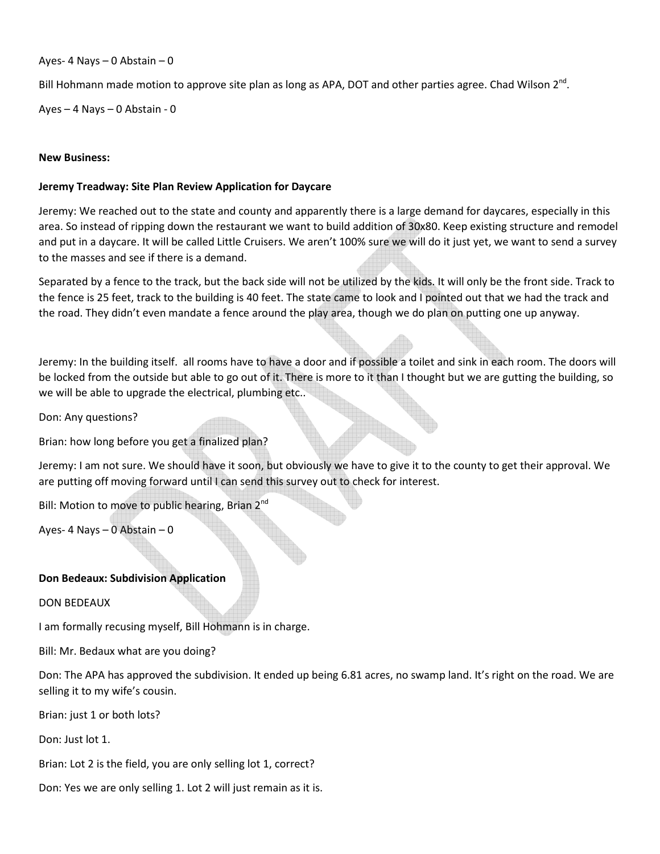### Ayes- 4 Nays – 0 Abstain – 0

Bill Hohmann made motion to approve site plan as long as APA, DOT and other parties agree. Chad Wilson  $2^{nd}$ .

Ayes – 4 Nays – 0 Abstain - 0

### **New Business:**

#### **Jeremy Treadway: Site Plan Review Application for Daycare**

Jeremy: We reached out to the state and county and apparently there is a large demand for daycares, especially in this area. So instead of ripping down the restaurant we want to build addition of 30x80. Keep existing structure and remodel and put in a daycare. It will be called Little Cruisers. We aren't 100% sure we will do it just yet, we want to send a survey to the masses and see if there is a demand.

Separated by a fence to the track, but the back side will not be utilized by the kids. It will only be the front side. Track to the fence is 25 feet, track to the building is 40 feet. The state came to look and I pointed out that we had the track and the road. They didn't even mandate a fence around the play area, though we do plan on putting one up anyway.

Jeremy: In the building itself. all rooms have to have a door and if possible a toilet and sink in each room. The doors will be locked from the outside but able to go out of it. There is more to it than I thought but we are gutting the building, so we will be able to upgrade the electrical, plumbing etc..

Don: Any questions?

Brian: how long before you get a finalized plan?

Jeremy: I am not sure. We should have it soon, but obviously we have to give it to the county to get their approval. We are putting off moving forward until I can send this survey out to check for interest.

Bill: Motion to move to public hearing, Brian  $2^{nc}$ 

Ayes- 4 Nays – 0 Abstain – 0

#### **Don Bedeaux: Subdivision Application**

DON BEDEAUX

I am formally recusing myself, Bill Hohmann is in charge.

Bill: Mr. Bedaux what are you doing?

Don: The APA has approved the subdivision. It ended up being 6.81 acres, no swamp land. It's right on the road. We are selling it to my wife's cousin.

Brian: just 1 or both lots?

Don: Just lot 1.

Brian: Lot 2 is the field, you are only selling lot 1, correct?

Don: Yes we are only selling 1. Lot 2 will just remain as it is.